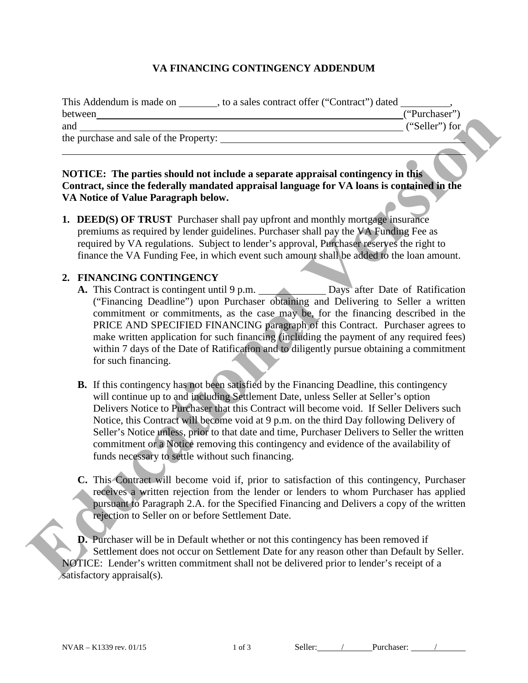## **VA FINANCING CONTINGENCY ADDENDUM**

| This Addendum is made on<br>, to a sales contract offer ("Contract") dated |                |
|----------------------------------------------------------------------------|----------------|
| between                                                                    | ("Purchaser")  |
| and                                                                        | ("Seller") for |
| the purchase and sale of the Property:                                     |                |
|                                                                            |                |

#### **NOTICE: The parties should not include a separate appraisal contingency in this Contract, since the federally mandated appraisal language for VA loans is contained in the VA Notice of Value Paragraph below.**

**1. DEED(S) OF TRUST** Purchaser shall pay upfront and monthly mortgage insurance premiums as required by lender guidelines. Purchaser shall pay the VA Funding Fee as required by VA regulations. Subject to lender's approval, Purchaser reserves the right to finance the VA Funding Fee, in which event such amount shall be added to the loan amount.

## **2. FINANCING CONTINGENCY**

- **A.** This Contract is contingent until 9 p.m. Days after Date of Ratification ("Financing Deadline") upon Purchaser obtaining and Delivering to Seller a written commitment or commitments, as the case may be, for the financing described in the PRICE AND SPECIFIED FINANCING paragraph of this Contract. Purchaser agrees to make written application for such financing (including the payment of any required fees) within 7 days of the Date of Ratification and to diligently pursue obtaining a commitment for such financing.
- **B.** If this contingency has not been satisfied by the Financing Deadline, this contingency will continue up to and including Settlement Date, unless Seller at Seller's option Delivers Notice to Purchaser that this Contract will become void. If Seller Delivers such Notice, this Contract will become void at 9 p.m. on the third Day following Delivery of Seller's Notice unless, prior to that date and time, Purchaser Delivers to Seller the written commitment or a Notice removing this contingency and evidence of the availability of funds necessary to settle without such financing. Transaction of the Property:<br> **Education** of the puchase and sale of the Property:<br> **EGOENTY:** The particle should not include a separate approaisal contingency in this<br>
Contract, since the Neterally mandated a paperisal h
	- **C.** This Contract will become void if, prior to satisfaction of this contingency, Purchaser receives a written rejection from the lender or lenders to whom Purchaser has applied pursuant to Paragraph 2.A. for the Specified Financing and Delivers a copy of the written rejection to Seller on or before Settlement Date.

**D.** Purchaser will be in Default whether or not this contingency has been removed if Settlement does not occur on Settlement Date for any reason other than Default by Seller. NOTICE: Lender's written commitment shall not be delivered prior to lender's receipt of a satisfactory appraisal(s).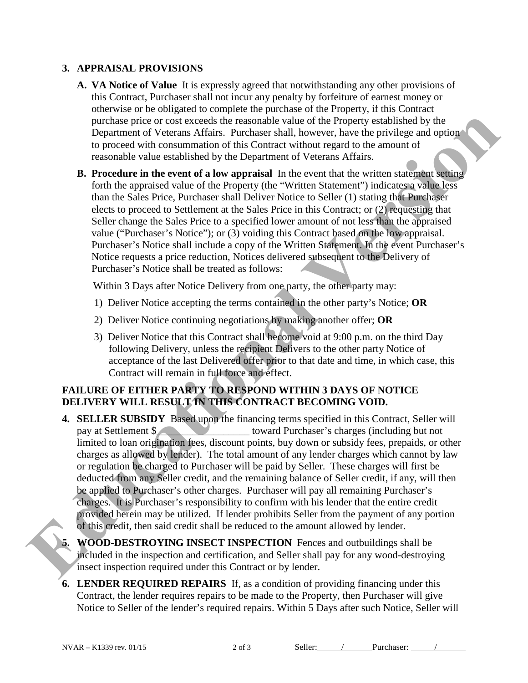## **3. APPRAISAL PROVISIONS**

- **A. VA Notice of Value** It is expressly agreed that notwithstanding any other provisions of this Contract, Purchaser shall not incur any penalty by forfeiture of earnest money or otherwise or be obligated to complete the purchase of the Property, if this Contract purchase price or cost exceeds the reasonable value of the Property established by the Department of Veterans Affairs. Purchaser shall, however, have the privilege and option to proceed with consummation of this Contract without regard to the amount of reasonable value established by the Department of Veterans Affairs.
- **B. Procedure in the event of a low appraisal** In the event that the written statement setting forth the appraised value of the Property (the "Written Statement") indicates a value less than the Sales Price, Purchaser shall Deliver Notice to Seller (1) stating that Purchaser elects to proceed to Settlement at the Sales Price in this Contract; or (2) requesting that Seller change the Sales Price to a specified lower amount of not less than the appraised value ("Purchaser's Notice"); or (3) voiding this Contract based on the low appraisal. Purchaser's Notice shall include a copy of the Written Statement. In the event Purchaser's Notice requests a price reduction, Notices delivered subsequent to the Delivery of Purchaser's Notice shall be treated as follows:

Within 3 Days after Notice Delivery from one party, the other party may:

- 1) Deliver Notice accepting the terms contained in the other party's Notice; **OR**
- 2) Deliver Notice continuing negotiations by making another offer; **OR**
- 3) Deliver Notice that this Contract shall become void at 9:00 p.m. on the third Day following Delivery, unless the recipient Delivers to the other party Notice of acceptance of the last Delivered offer prior to that date and time, in which case, this Contract will remain in full force and effect.

# **FAILURE OF EITHER PARTY TO RESPOND WITHIN 3 DAYS OF NOTICE DELIVERY WILL RESULT IN THIS CONTRACT BECOMING VOID.**

- **4. SELLER SUBSIDY** Based upon the financing terms specified in this Contract, Seller will pay at Settlement \$ limited to loan origination fees, discount points, buy down or subsidy fees, prepaids, or other charges as allowed by lender). The total amount of any lender charges which cannot by law or regulation be charged to Purchaser will be paid by Seller. These charges will first be deducted from any Seller credit, and the remaining balance of Seller credit, if any, will then be applied to Purchaser's other charges. Purchaser will pay all remaining Purchaser's charges. It is Purchaser's responsibility to confirm with his lender that the entire credit provided herein may be utilized. If lender prohibits Seller from the payment of any portion of this credit, then said credit shall be reduced to the amount allowed by lender. purchase price or cost exceeds the reasonable value of the Froperty established by the consideration of the cost of the cost of the cost of the cost of the cost of the cost of the cost of the cost of the cost of the cost o
	- **5. WOOD-DESTROYING INSECT INSPECTION** Fences and outbuildings shall be included in the inspection and certification, and Seller shall pay for any wood-destroying insect inspection required under this Contract or by lender.
	- **6. LENDER REQUIRED REPAIRS** If, as a condition of providing financing under this Contract, the lender requires repairs to be made to the Property, then Purchaser will give Notice to Seller of the lender's required repairs. Within 5 Days after such Notice, Seller will

NVAR – K1339 rev. 01/15 2 of 3 Seller: / Purchaser: /